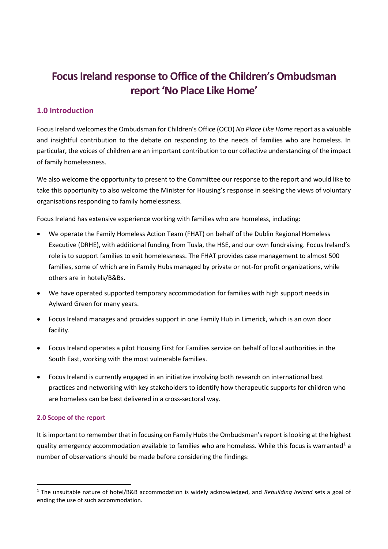# **Focus Ireland response to Office of the Children's Ombudsman report 'No Place Like Home'**

## **1.0 Introduction**

Focus Ireland welcomes the Ombudsman for Children's Office (OCO) *No Place Like Home* report as a valuable and insightful contribution to the debate on responding to the needs of families who are homeless. In particular, the voices of children are an important contribution to our collective understanding of the impact of family homelessness.

We also welcome the opportunity to present to the Committee our response to the report and would like to take this opportunity to also welcome the Minister for Housing's response in seeking the views of voluntary organisations responding to family homelessness.

Focus Ireland has extensive experience working with families who are homeless, including:

- We operate the Family Homeless Action Team (FHAT) on behalf of the Dublin Regional Homeless Executive (DRHE), with additional funding from Tusla, the HSE, and our own fundraising. Focus Ireland's role is to support families to exit homelessness. The FHAT provides case management to almost 500 families, some of which are in Family Hubs managed by private or not-for profit organizations, while others are in hotels/B&Bs.
- We have operated supported temporary accommodation for families with high support needs in Aylward Green for many years.
- Focus Ireland manages and provides support in one Family Hub in Limerick, which is an own door facility.
- Focus Ireland operates a pilot Housing First for Families service on behalf of local authorities in the South East, working with the most vulnerable families.
- Focus Ireland is currently engaged in an initiative involving both research on international best practices and networking with key stakeholders to identify how therapeutic supports for children who are homeless can be best delivered in a cross-sectoral way.

#### **2.0 Scope of the report**

 $\overline{a}$ 

It is important to remember that in focusing on Family Hubs the Ombudsman's report is looking at the highest quality emergency accommodation available to families who are homeless. While this focus is warranted<sup>1</sup> a number of observations should be made before considering the findings:

<sup>1</sup> The unsuitable nature of hotel/B&B accommodation is widely acknowledged, and *Rebuilding Ireland* sets a goal of ending the use of such accommodation.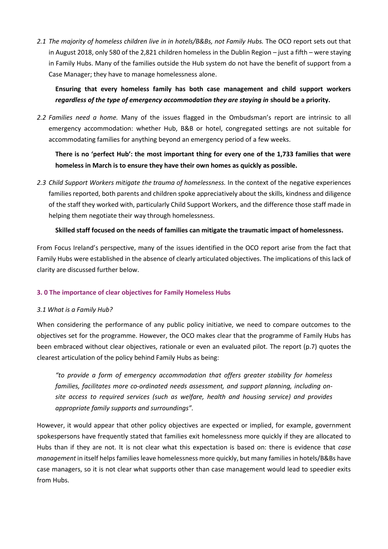*2.1 The majority of homeless children live in in hotels/B&Bs, not Family Hubs.* The OCO report sets out that in August 2018, only 580 of the 2,821 children homeless in the Dublin Region – just a fifth – were staying in Family Hubs. Many of the families outside the Hub system do not have the benefit of support from a Case Manager; they have to manage homelessness alone.

## **Ensuring that every homeless family has both case management and child support workers**  *regardless of the type of emergency accommodation they are staying in* **should be a priority.**

*2.2 Families need a home.* Many of the issues flagged in the Ombudsman's report are intrinsic to all emergency accommodation: whether Hub, B&B or hotel, congregated settings are not suitable for accommodating families for anything beyond an emergency period of a few weeks.

## **There is no 'perfect Hub': the most important thing for every one of the 1,733 families that were homeless in March is to ensure they have their own homes as quickly as possible.**

*2.3 Child Support Workers mitigate the trauma of homelessness.* In the context of the negative experiences families reported, both parents and children spoke appreciatively about the skills, kindness and diligence of the staff they worked with, particularly Child Support Workers, and the difference those staff made in helping them negotiate their way through homelessness.

### **Skilled staff focused on the needs of families can mitigate the traumatic impact of homelessness.**

From Focus Ireland's perspective, many of the issues identified in the OCO report arise from the fact that Family Hubs were established in the absence of clearly articulated objectives. The implications of this lack of clarity are discussed further below.

#### **3. 0 The importance of clear objectives for Family Homeless Hubs**

#### *3.1 What is a Family Hub?*

When considering the performance of any public policy initiative, we need to compare outcomes to the objectives set for the programme. However, the OCO makes clear that the programme of Family Hubs has been embraced without clear objectives, rationale or even an evaluated pilot. The report (p.7) quotes the clearest articulation of the policy behind Family Hubs as being:

*"to provide a form of emergency accommodation that offers greater stability for homeless families, facilitates more co-ordinated needs assessment, and support planning, including onsite access to required services (such as welfare, health and housing service) and provides appropriate family supports and surroundings".* 

However, it would appear that other policy objectives are expected or implied, for example, government spokespersons have frequently stated that families exit homelessness more quickly if they are allocated to Hubs than if they are not. It is not clear what this expectation is based on: there is evidence that *case management* in itself helps families leave homelessness more quickly, but many families in hotels/B&Bs have case managers, so it is not clear what supports other than case management would lead to speedier exits from Hubs.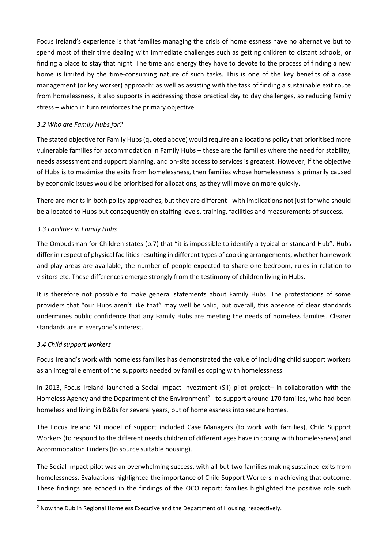Focus Ireland's experience is that families managing the crisis of homelessness have no alternative but to spend most of their time dealing with immediate challenges such as getting children to distant schools, or finding a place to stay that night. The time and energy they have to devote to the process of finding a new home is limited by the time-consuming nature of such tasks. This is one of the key benefits of a case management (or key worker) approach: as well as assisting with the task of finding a sustainable exit route from homelessness, it also supports in addressing those practical day to day challenges, so reducing family stress – which in turn reinforces the primary objective.

### *3.2 Who are Family Hubs for?*

The stated objective for Family Hubs(quoted above) would require an allocations policy that prioritised more vulnerable families for accommodation in Family Hubs – these are the families where the need for stability, needs assessment and support planning, and on-site access to services is greatest. However, if the objective of Hubs is to maximise the exits from homelessness, then families whose homelessness is primarily caused by economic issues would be prioritised for allocations, as they will move on more quickly.

There are merits in both policy approaches, but they are different - with implications not just for who should be allocated to Hubs but consequently on staffing levels, training, facilities and measurements of success.

### *3.3 Facilities in Family Hubs*

The Ombudsman for Children states (p.7) that "it is impossible to identify a typical or standard Hub". Hubs differ in respect of physical facilities resulting in different types of cooking arrangements, whether homework and play areas are available, the number of people expected to share one bedroom, rules in relation to visitors etc. These differences emerge strongly from the testimony of children living in Hubs.

It is therefore not possible to make general statements about Family Hubs. The protestations of some providers that "our Hubs aren't like that" may well be valid, but overall, this absence of clear standards undermines public confidence that any Family Hubs are meeting the needs of homeless families. Clearer standards are in everyone's interest.

#### *3.4 Child support workers*

**.** 

Focus Ireland's work with homeless families has demonstrated the value of including child support workers as an integral element of the supports needed by families coping with homelessness.

In 2013, Focus Ireland launched a Social Impact Investment (SII) pilot project– in collaboration with the Homeless Agency and the Department of the Environment<sup>2</sup> - to support around 170 families, who had been homeless and living in B&Bs for several years, out of homelessness into secure homes.

The Focus Ireland SII model of support included Case Managers (to work with families), Child Support Workers (to respond to the different needs children of different ages have in coping with homelessness) and Accommodation Finders (to source suitable housing).

The Social Impact pilot was an overwhelming success, with all but two families making sustained exits from homelessness. Evaluations highlighted the importance of Child Support Workers in achieving that outcome. These findings are echoed in the findings of the OCO report: families highlighted the positive role such

<sup>&</sup>lt;sup>2</sup> Now the Dublin Regional Homeless Executive and the Department of Housing, respectively.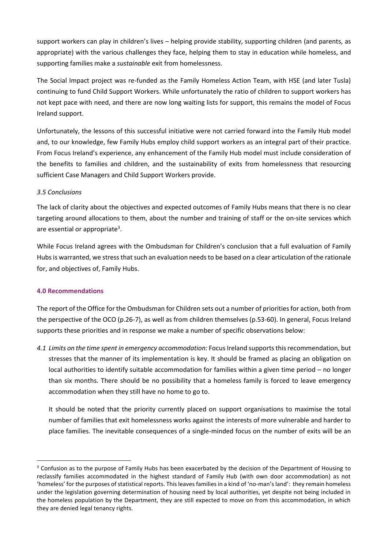support workers can play in children's lives – helping provide stability, supporting children (and parents, as appropriate) with the various challenges they face, helping them to stay in education while homeless, and supporting families make a *sustainable* exit from homelessness.

The Social Impact project was re-funded as the Family Homeless Action Team, with HSE (and later Tusla) continuing to fund Child Support Workers. While unfortunately the ratio of children to support workers has not kept pace with need, and there are now long waiting lists for support, this remains the model of Focus Ireland support.

Unfortunately, the lessons of this successful initiative were not carried forward into the Family Hub model and, to our knowledge, few Family Hubs employ child support workers as an integral part of their practice. From Focus Ireland's experience, any enhancement of the Family Hub model must include consideration of the benefits to families and children, and the sustainability of exits from homelessness that resourcing sufficient Case Managers and Child Support Workers provide.

#### *3.5 Conclusions*

The lack of clarity about the objectives and expected outcomes of Family Hubs means that there is no clear targeting around allocations to them, about the number and training of staff or the on-site services which are essential or appropriate<sup>3</sup>.

While Focus Ireland agrees with the Ombudsman for Children's conclusion that a full evaluation of Family Hubs is warranted, we stress that such an evaluation needs to be based on a clear articulation of the rationale for, and objectives of, Family Hubs.

#### **4.0 Recommendations**

**.** 

The report of the Office for the Ombudsman for Children sets out a number of priorities for action, both from the perspective of the OCO (p.26-7), as well as from children themselves (p.53-60). In general, Focus Ireland supports these priorities and in response we make a number of specific observations below:

*4.1 Limits on the time spent in emergency accommodation:* Focus Ireland supports this recommendation, but stresses that the manner of its implementation is key. It should be framed as placing an obligation on local authorities to identify suitable accommodation for families within a given time period – no longer than six months. There should be no possibility that a homeless family is forced to leave emergency accommodation when they still have no home to go to.

It should be noted that the priority currently placed on support organisations to maximise the total number of families that exit homelessness works against the interests of more vulnerable and harder to place families. The inevitable consequences of a single-minded focus on the number of exits will be an

<sup>&</sup>lt;sup>3</sup> Confusion as to the purpose of Family Hubs has been exacerbated by the decision of the Department of Housing to reclassify families accommodated in the highest standard of Family Hub (with own door accommodation) as not 'homeless' for the purposes of statistical reports. This leaves families in a kind of 'no-man's land': they remain homeless under the legislation governing determination of housing need by local authorities, yet despite not being included in the homeless population by the Department, they are still expected to move on from this accommodation, in which they are denied legal tenancy rights.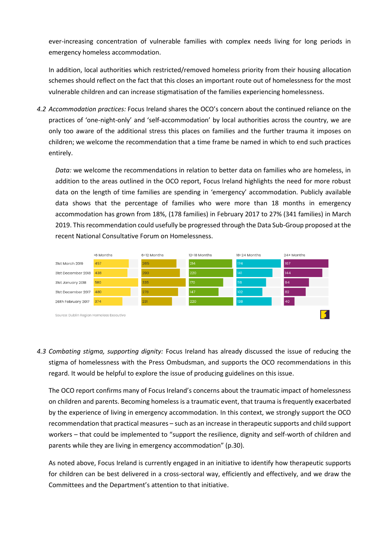ever-increasing concentration of vulnerable families with complex needs living for long periods in emergency homeless accommodation.

In addition, local authorities which restricted/removed homeless priority from their housing allocation schemes should reflect on the fact that this closes an important route out of homelessness for the most vulnerable children and can increase stigmatisation of the families experiencing homelessness.

*4.2 Accommodation practices:* Focus Ireland shares the OCO's concern about the continued reliance on the practices of 'one-night-only' and 'self-accommodation' by local authorities across the country, we are only too aware of the additional stress this places on families and the further trauma it imposes on children; we welcome the recommendation that a time frame be named in which to end such practices entirely.

*Data:* we welcome the recommendations in relation to better data on families who are homeless, in addition to the areas outlined in the OCO report, Focus Ireland highlights the need for more robust data on the length of time families are spending in 'emergency' accommodation. Publicly available data shows that the percentage of families who were more than 18 months in emergency accommodation has grown from 18%, (178 families) in February 2017 to 27% (341 families) in March 2019. This recommendation could usefully be progressed through the Data Sub-Group proposed at the recent National Consultative Forum on Homelessness.



*4.3 Combating stigma, supporting dignity:* Focus Ireland has already discussed the issue of reducing the stigma of homelessness with the Press Ombudsman, and supports the OCO recommendations in this regard. It would be helpful to explore the issue of producing guidelines on this issue.

The OCO report confirms many of Focus Ireland's concerns about the traumatic impact of homelessness on children and parents. Becoming homeless is a traumatic event, that trauma is frequently exacerbated by the experience of living in emergency accommodation. In this context, we strongly support the OCO recommendation that practical measures – such as an increase in therapeutic supports and child support workers – that could be implemented to "support the resilience, dignity and self-worth of children and parents while they are living in emergency accommodation" (p.30).

As noted above, Focus Ireland is currently engaged in an initiative to identify how therapeutic supports for children can be best delivered in a cross-sectoral way, efficiently and effectively, and we draw the Committees and the Department's attention to that initiative.